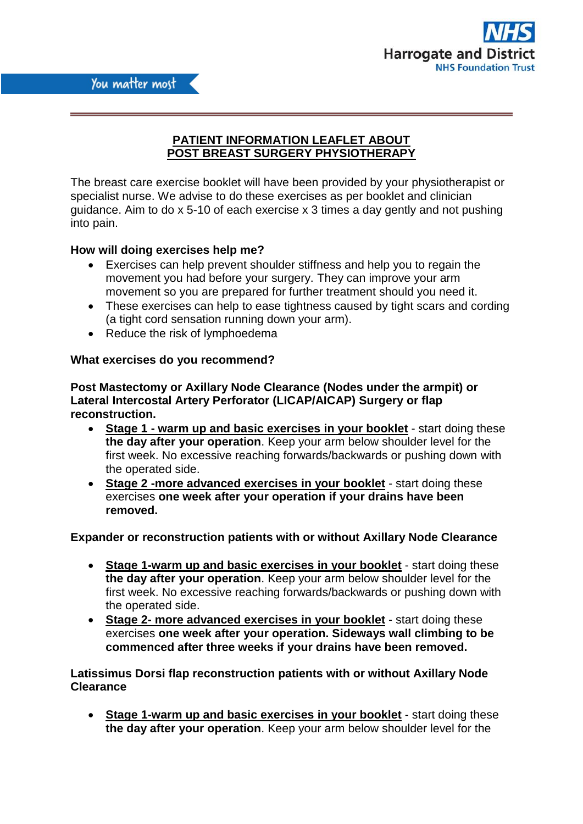

# **PATIENT INFORMATION LEAFLET ABOUT POST BREAST SURGERY PHYSIOTHERAPY**

The breast care exercise booklet will have been provided by your physiotherapist or specialist nurse. We advise to do these exercises as per booklet and clinician guidance. Aim to do x 5-10 of each exercise x 3 times a day gently and not pushing into pain.

# **How will doing exercises help me?**

- Exercises can help prevent shoulder stiffness and help you to regain the movement you had before your surgery. They can improve your arm movement so you are prepared for further treatment should you need it.
- These exercises can help to ease tightness caused by tight scars and cording (a tight cord sensation running down your arm).
- Reduce the risk of lymphoedema

## **What exercises do you recommend?**

## **Post Mastectomy or Axillary Node Clearance (Nodes under the armpit) or Lateral Intercostal Artery Perforator (LICAP/AICAP) Surgery or flap reconstruction.**

- **Stage 1 - warm up and basic exercises in your booklet** start doing these **the day after your operation**. Keep your arm below shoulder level for the first week. No excessive reaching forwards/backwards or pushing down with the operated side.
- **Stage 2 -more advanced exercises in your booklet** start doing these exercises **one week after your operation if your drains have been removed.**

## **Expander or reconstruction patients with or without Axillary Node Clearance**

- **Stage 1-warm up and basic exercises in your booklet** start doing these **the day after your operation**. Keep your arm below shoulder level for the first week. No excessive reaching forwards/backwards or pushing down with the operated side.
- **Stage 2- more advanced exercises in your booklet** start doing these exercises **one week after your operation. Sideways wall climbing to be commenced after three weeks if your drains have been removed.**

**Latissimus Dorsi flap reconstruction patients with or without Axillary Node Clearance**

 **Stage 1-warm up and basic exercises in your booklet** - start doing these **the day after your operation**. Keep your arm below shoulder level for the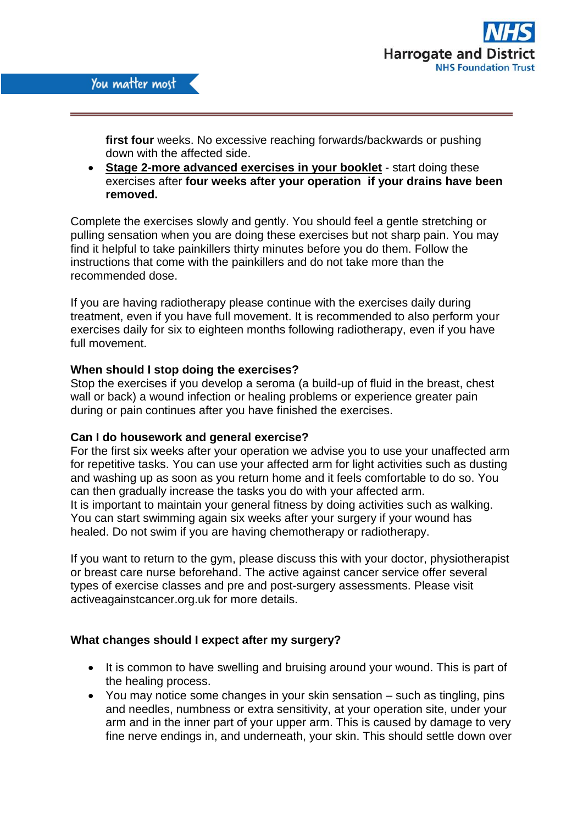

**first four** weeks. No excessive reaching forwards/backwards or pushing down with the affected side.

 **Stage 2-more advanced exercises in your booklet** - start doing these exercises after **four weeks after your operation if your drains have been removed.**

Complete the exercises slowly and gently. You should feel a gentle stretching or pulling sensation when you are doing these exercises but not sharp pain. You may find it helpful to take painkillers thirty minutes before you do them. Follow the instructions that come with the painkillers and do not take more than the recommended dose.

If you are having radiotherapy please continue with the exercises daily during treatment, even if you have full movement. It is recommended to also perform your exercises daily for six to eighteen months following radiotherapy, even if you have full movement.

### **When should I stop doing the exercises?**

Stop the exercises if you develop a seroma (a build-up of fluid in the breast, chest wall or back) a wound infection or healing problems or experience greater pain during or pain continues after you have finished the exercises.

## **Can I do housework and general exercise?**

For the first six weeks after your operation we advise you to use your unaffected arm for repetitive tasks. You can use your affected arm for light activities such as dusting and washing up as soon as you return home and it feels comfortable to do so. You can then gradually increase the tasks you do with your affected arm. It is important to maintain your general fitness by doing activities such as walking. You can start swimming again six weeks after your surgery if your wound has healed. Do not swim if you are having chemotherapy or radiotherapy.

If you want to return to the gym, please discuss this with your doctor, physiotherapist or breast care nurse beforehand. The active against cancer service offer several types of exercise classes and pre and post-surgery assessments. Please visit activeagainstcancer.org.uk for more details.

## **What changes should I expect after my surgery?**

- It is common to have swelling and bruising around your wound. This is part of the healing process.
- You may notice some changes in your skin sensation such as tingling, pins and needles, numbness or extra sensitivity, at your operation site, under your arm and in the inner part of your upper arm. This is caused by damage to very fine nerve endings in, and underneath, your skin. This should settle down over